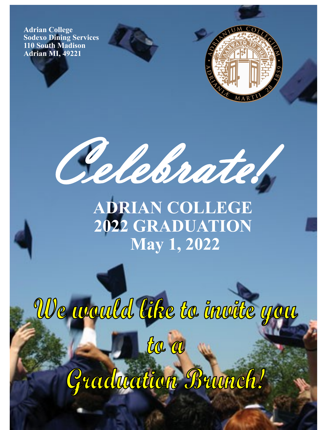**Adrian College Sodexo Dining Services 110 South Madison Adrian MI, 49221**





**ADRIAN COLLEGE 2022 GRADUATION May 1, 2022**

We would like to inwite you the a Gradwation Brunch!